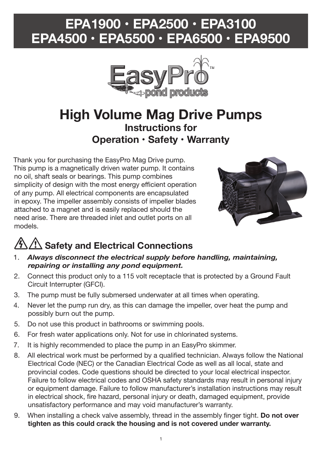## **EPA1900 • EPA2500 • EPA3100 EPA4500 • EPA5500 • EPA6500 • EPA9500**



## **High Volume Mag Drive Pumps Instructions for Operation • Safety • Warranty**

Thank you for purchasing the EasyPro Mag Drive pump. This pump is a magnetically driven water pump. It contains no oil, shaft seals or bearings. This pump combines simplicity of design with the most energy efficient operation of any pump. All electrical components are encapsulated in epoxy. The impeller assembly consists of impeller blades attached to a magnet and is easily replaced should the need arise. There are threaded inlet and outlet ports on all models.



# **Safety and Electrical Connections**

- 1. *Always disconnect the electrical supply before handling, maintaining, repairing or installing any pond equipment.*
- 2. Connect this product only to a 115 volt receptacle that is protected by a Ground Fault Circuit Interrupter (GFCI).
- 3. The pump must be fully submersed underwater at all times when operating.
- 4. Never let the pump run dry, as this can damage the impeller, over heat the pump and possibly burn out the pump.
- 5. Do not use this product in bathrooms or swimming pools.
- 6. For fresh water applications only. Not for use in chlorinated systems.
- 7. It is highly recommended to place the pump in an EasyPro skimmer.
- 8. All electrical work must be performed by a qualified technician. Always follow the National Electrical Code (NEC) or the Canadian Electrical Code as well as all local, state and provincial codes. Code questions should be directed to your local electrical inspector. Failure to follow electrical codes and OSHA safety standards may result in personal injury or equipment damage. Failure to follow manufacturer's installation instructions may result in electrical shock, fire hazard, personal injury or death, damaged equipment, provide unsatisfactory performance and may void manufacturer's warranty.
- 9. When installing a check valve assembly, thread in the assembly finger tight. **Do not over tighten as this could crack the housing and is not covered under warranty.**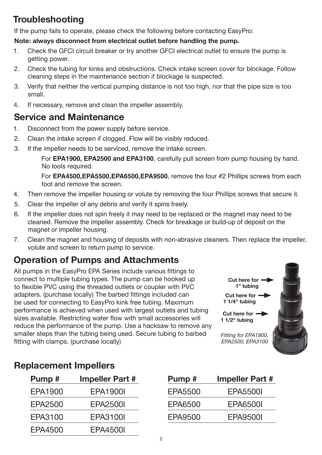## **Troubleshooting**

If the pump fails to operate, please check the following before contacting EasyPro:

#### **Note: always disconnect from electrical outlet before handling the pump.**

- 1. Check the GFCI circuit breaker or try another GFCI electrical outlet to ensure the pump is getting power.
- 2. Check the tubing for kinks and obstructions. Check intake screen cover for blockage. Follow cleaning steps in the maintenance section if blockage is suspected.
- 3. Verify that neither the vertical pumping distance is not too high, nor that the pipe size is too small.
- 4. If necessary, remove and clean the impeller assembly.

### **Service and Maintenance**

- 1. Disconnect from the power supply before service.
- 2. Clean the intake screen if clogged. Flow will be visibly reduced.
- 3. If the impeller needs to be serviced, remove the intake screen.

 For **EPA1900, EPA2500 and EPA3100**, carefully pull screen from pump housing by hand. No tools required.

 For **EPA4500,EPA5500,EPA6500,EPA9500**, remove the four #2 Phillips screws from each foot and remove the screen.

- 4. Then remove the impeller housing or volute by removing the four Phillips screws that secure it.
- 5. Clear the impeller of any debris and verify it spins freely.
- 6. If the impeller does not spin freely it may need to be replaced or the magnet may need to be cleaned. Remove the impeller assembly. Check for breakage or build-up of deposit on the magnet or impeller housing.
- 7. Clean the magnet and housing of deposits with non-abrasive cleaners. Then replace the impeller, volute and screen to return pump to service.

## **Operation of Pumps and Attachments**

All pumps in the EasyPro EPA Series include various fittings to connect to multiple tubing types. The pump can be hooked up to flexible PVC using the threaded outlets or coupler with PVC adapters. (purchase locally) The barbed fittings included can be used for connecting to EasyPro kink free tubing. Maximum performance is achieved when used with largest outlets and tubing sizes available. Restricting water flow with small accessories will reduce the performance of the pump. Use a hacksaw to remove any smaller steps than the tubing being used. Secure tubing to barbed fitting with clamps. (purchase locally)



### **Replacement Impellers**

| Pump#   | <b>Impeller Part #</b> |
|---------|------------------------|
| EPA1900 | EPA1900I               |
| EPA2500 | EPA2500I               |
| EPA3100 | EPA3100I               |
| EPA4500 | EPA4500I               |

| Pump#   | <b>Impeller Part #</b> |
|---------|------------------------|
| EPA5500 | EPA5500I               |
| EPA6500 | EPA6500I               |
| EPA9500 | EPA9500I               |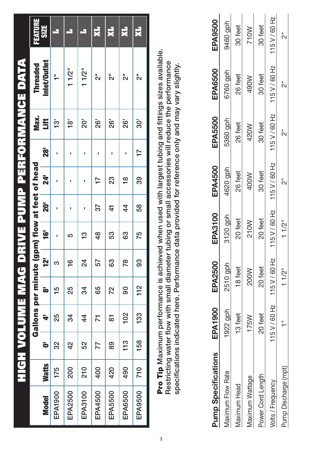|              | j<br>U       |     |                                               |     |                   |               |                 |                 |                 |                 | VOLUME MAG DRIVE PUMP PERFORMANCE DATA |                |
|--------------|--------------|-----|-----------------------------------------------|-----|-------------------|---------------|-----------------|-----------------|-----------------|-----------------|----------------------------------------|----------------|
|              |              |     | Gallons per minute (gpm) flow at feet of head |     |                   |               |                 |                 |                 | Max.            | <b>Threaded</b>                        | <b>FEATURE</b> |
| <b>Model</b> | <b>Watts</b> | è   | ÷                                             | ō   | <u><b>i21</b></u> | ë             | $\overline{20}$ | $\overline{24}$ | $\overline{28}$ | š               | Inlet/Outlet                           | <b>SIZE</b>    |
| EPA1900      | 175          | 32  | 25                                            | 15  | က                 |               |                 |                 |                 | ည့              | ÷,                                     | Ę              |
| EPA2500      | 200          | 42  | 34                                            | 25  | $\frac{6}{1}$     | 5             |                 |                 |                 | $\frac{1}{2}$   | 11/2 <sup>n</sup>                      | ч              |
| EPA3100      | <b>210</b>   | 52  | 44                                            | 34  | 24                | 13            |                 |                 |                 | ູລົ             | 11/2 <sup>n</sup>                      | ч              |
| EPA4500      | 400          | 77  | 71                                            | 65  | 57                | $\frac{4}{8}$ | 57              | 77              | ı               | $\overline{26}$ | ฟื                                     | R.             |
| EPA5500      | 420          | 89  | ౚ                                             | 72  | 83                | 53            | 4               | 23              | ı               | $\overline{26}$ | ั้ง                                    | 뤚              |
| EPA6500      | 490          | 113 | 10 <sup>2</sup>                               | 90  | 78                | 63            | 44              | $\frac{8}{1}$   |                 | 26'             | ล็                                     | H.             |
| EPA9500      | 710          | 158 | 133                                           | 112 | 93                | 75            | 58              | 39              | $\overline{1}$  | 30'             | ล็                                     | 天              |
|              |              |     |                                               |     |                   |               |                 |                 |                 |                 |                                        |                |

Pro Tip Maximum performance is achieved when used with largest tubing and fittings sizes available.<br>Restricting water flow with small diameter tubing or small accessories will reduce the performance Pro Tip Maximum performance is achieved when used with largest tubing and fittings sizes available. Restricting water flow with small diameter tubing or small accessories will reduce the performance specifications indicated here. Performance data provided for reference only and may vary slightly. specifications indicated here. Performance data provided for reference only and may vary slightly.

| ump Specifications       | <b>EPA1900</b> | <b>EPA2500</b> | EPA3100       | EPA4500       | <b>EPA5500</b> | EPA6500       | <b>EPA9500</b> |
|--------------------------|----------------|----------------|---------------|---------------|----------------|---------------|----------------|
| <b>Maximum Flow Rate</b> | 922 gph        | 2510 gph       | 3120 gph      | 4620 gph      | 5360 gph       | 6760 gph      | 9460 gph       |
| <b>Aaximum Head</b>      | 13 feet        | 18 feet        | 20 feet       | 26 feet       | 26 feet        | 26 feet       | 30 feet        |
| <b>Maximum Wattage</b>   | 175W           | 200W           | 210W          | 400W          | 420W           | <b>M067</b>   | 710W           |
| Power Cord Length        | 20 feet        | 20 feet        | 20 feet       | 30 feet       | 30 feet        | 30 feet       | 30 feet        |
| <b>Jolts / Frequency</b> | 15 V / 60 Hz   | 115 V / 60 Hz  | 115 V / 60 Hz | 115 V / 60 Hz | 115 V / 60 Hz  | 115 V / 60 Hz | 115 V / 60 Hz  |
| Pump Discharge (mpt)     |                | $11/2$ "       | $11/2$ "      |               |                |               |                |
|                          |                |                |               |               |                |               |                |